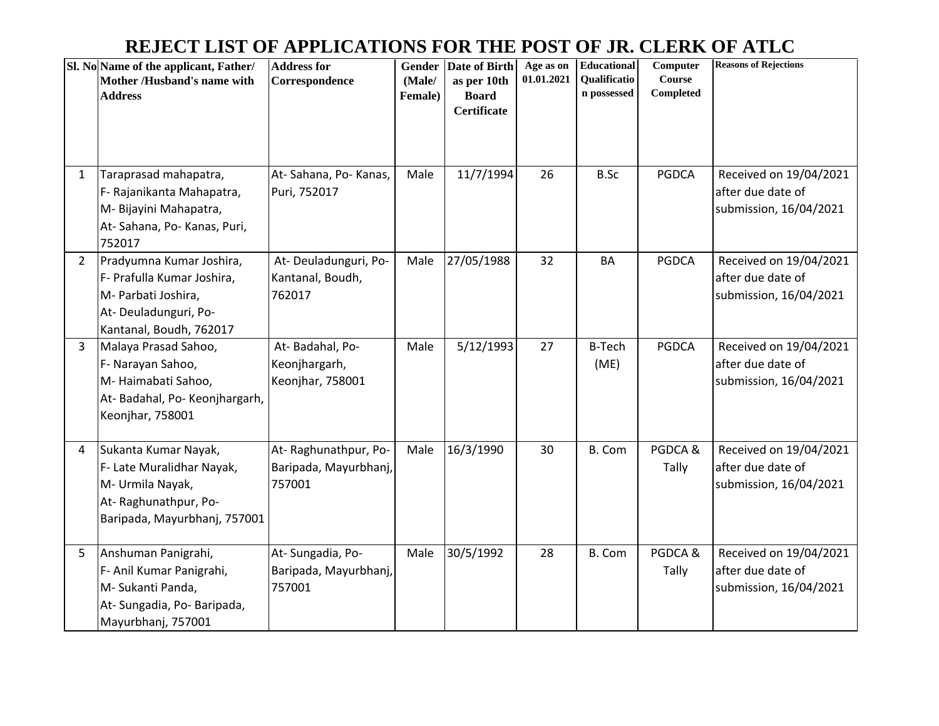## **REJECT LIST OF APPLICATIONS FOR THE POST OF JR. CLERK OF ATLC**

|                | Sl. No Name of the applicant, Father/<br>Mother /Husband's name with<br><b>Address</b>                                           | <b>Address for</b><br>Correspondence                    | Gender<br>(Male/<br>Female) | Date of Birth<br>as per 10th<br><b>Board</b><br><b>Certificate</b> | Age as on<br>01.01.2021 | Educational<br>Qualificatio<br>n possessed | Computer<br>Course<br>Completed | <b>Reasons of Rejections</b>                                          |
|----------------|----------------------------------------------------------------------------------------------------------------------------------|---------------------------------------------------------|-----------------------------|--------------------------------------------------------------------|-------------------------|--------------------------------------------|---------------------------------|-----------------------------------------------------------------------|
| 1              | Taraprasad mahapatra,<br>F- Rajanikanta Mahapatra,<br>M-Bijayini Mahapatra,<br>At-Sahana, Po-Kanas, Puri,<br>752017              | At-Sahana, Po-Kanas,<br>Puri, 752017                    | Male                        | 11/7/1994                                                          | 26                      | B.Sc                                       | <b>PGDCA</b>                    | Received on 19/04/2021<br>after due date of<br>submission, 16/04/2021 |
| $\overline{2}$ | Pradyumna Kumar Joshira,<br>F- Prafulla Kumar Joshira,<br>M- Parbati Joshira,<br>At-Deuladunguri, Po-<br>Kantanal, Boudh, 762017 | At-Deuladunguri, Po-<br>Kantanal, Boudh,<br>762017      | Male                        | 27/05/1988                                                         | 32                      | <b>BA</b>                                  | <b>PGDCA</b>                    | Received on 19/04/2021<br>after due date of<br>submission, 16/04/2021 |
| 3              | Malaya Prasad Sahoo,<br>F- Narayan Sahoo,<br>M-Haimabati Sahoo,<br>At-Badahal, Po-Keonjhargarh,<br>Keonjhar, 758001              | At-Badahal, Po-<br>Keonjhargarh,<br>Keonjhar, 758001    | Male                        | 5/12/1993                                                          | 27                      | <b>B-Tech</b><br>(ME)                      | <b>PGDCA</b>                    | Received on 19/04/2021<br>after due date of<br>submission, 16/04/2021 |
| 4              | Sukanta Kumar Nayak,<br>F- Late Muralidhar Nayak,<br>M- Urmila Nayak,<br>At-Raghunathpur, Po-<br>Baripada, Mayurbhanj, 757001    | At-Raghunathpur, Po-<br>Baripada, Mayurbhanj,<br>757001 | Male                        | 16/3/1990                                                          | 30                      | B. Com                                     | PGDCA&<br>Tally                 | Received on 19/04/2021<br>after due date of<br>submission, 16/04/2021 |
| $5\phantom{.}$ | Anshuman Panigrahi,<br>F- Anil Kumar Panigrahi,<br>M- Sukanti Panda,<br>At-Sungadia, Po-Baripada,<br>Mayurbhanj, 757001          | At-Sungadia, Po-<br>Baripada, Mayurbhanj,<br>757001     | Male                        | 30/5/1992                                                          | 28                      | B. Com                                     | PGDCA&<br>Tally                 | Received on 19/04/2021<br>after due date of<br>submission, 16/04/2021 |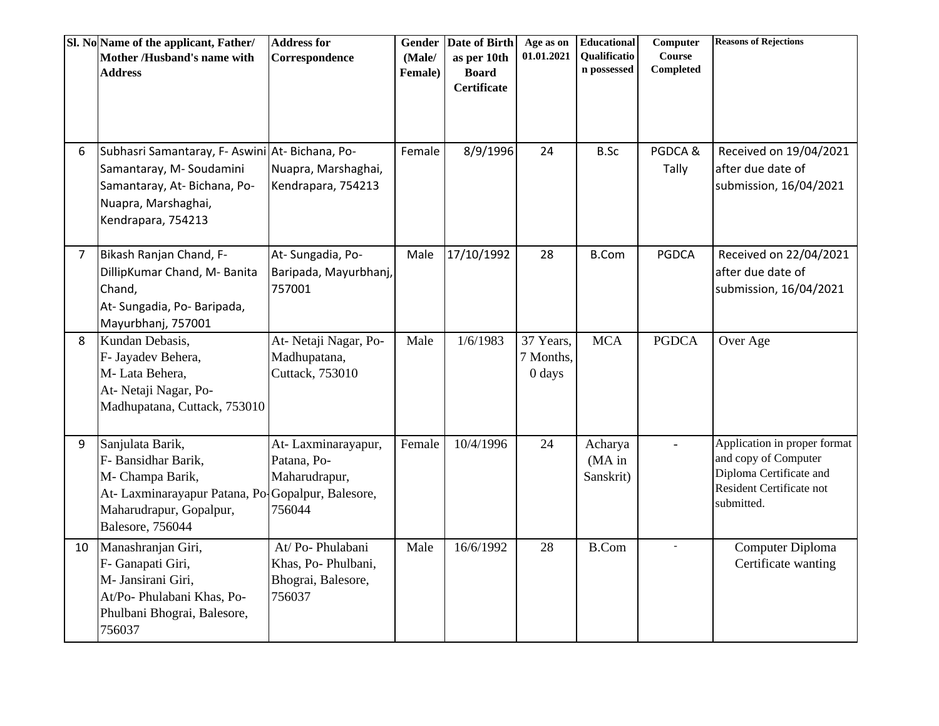|    | Sl. No Name of the applicant, Father/<br>Mother /Husband's name with<br><b>Address</b>                                                                                  | <b>Address for</b><br>Correspondence                                  | Gender<br>(Male/<br>Female) | Date of Birth<br>as per 10th<br><b>Board</b><br><b>Certificate</b> | Age as on<br>01.01.2021          | <b>Educational</b><br>Qualificatio<br>n possessed | Computer<br><b>Course</b><br>Completed | <b>Reasons of Rejections</b>                                                                                              |
|----|-------------------------------------------------------------------------------------------------------------------------------------------------------------------------|-----------------------------------------------------------------------|-----------------------------|--------------------------------------------------------------------|----------------------------------|---------------------------------------------------|----------------------------------------|---------------------------------------------------------------------------------------------------------------------------|
| 6  | Subhasri Samantaray, F- Aswini At- Bichana, Po-<br>Samantaray, M-Soudamini<br>Samantaray, At-Bichana, Po-<br>Nuapra, Marshaghai,<br>Kendrapara, 754213                  | Nuapra, Marshaghai,<br>Kendrapara, 754213                             | Female                      | 8/9/1996                                                           | 24                               | <b>B.Sc</b>                                       | PGDCA&<br>Tally                        | Received on 19/04/2021<br>after due date of<br>submission, 16/04/2021                                                     |
| 7  | Bikash Ranjan Chand, F-<br>DillipKumar Chand, M- Banita<br>Chand,<br>At- Sungadia, Po- Baripada,<br>Mayurbhanj, 757001                                                  | At-Sungadia, Po-<br>Baripada, Mayurbhanj,<br>757001                   | Male                        | 17/10/1992                                                         | 28                               | <b>B.Com</b>                                      | <b>PGDCA</b>                           | Received on 22/04/2021<br>after due date of<br>submission, 16/04/2021                                                     |
| 8  | Kundan Debasis,<br>F- Jayadev Behera,<br>M-Lata Behera,<br>At- Netaji Nagar, Po-<br>Madhupatana, Cuttack, 753010                                                        | At-Netaji Nagar, Po-<br>Madhupatana,<br>Cuttack, 753010               | Male                        | 1/6/1983                                                           | 37 Years,<br>7 Months,<br>0 days | <b>MCA</b>                                        | <b>PGDCA</b>                           | Over Age                                                                                                                  |
| 9  | Sanjulata Barik,<br>F- Bansidhar Barik,<br>M- Champa Barik,<br>At- Laxminarayapur Patana, Po-Gopalpur, Balesore,<br>Maharudrapur, Gopalpur,<br><b>Balesore</b> , 756044 | At-Laxminarayapur,<br>Patana, Po-<br>Maharudrapur,<br>756044          | Female                      | 10/4/1996                                                          | 24                               | Acharya<br>$(MA)$ in<br>Sanskrit)                 | $\omega$                               | Application in proper format<br>and copy of Computer<br>Diploma Certificate and<br>Resident Certificate not<br>submitted. |
| 10 | Manashranjan Giri,<br>F- Ganapati Giri,<br>M- Jansirani Giri,<br>At/Po- Phulabani Khas, Po-<br>Phulbani Bhograi, Balesore,<br>756037                                    | At/Po-Phulabani<br>Khas, Po-Phulbani,<br>Bhograi, Balesore,<br>756037 | Male                        | 16/6/1992                                                          | 28                               | <b>B.Com</b>                                      |                                        | Computer Diploma<br>Certificate wanting                                                                                   |